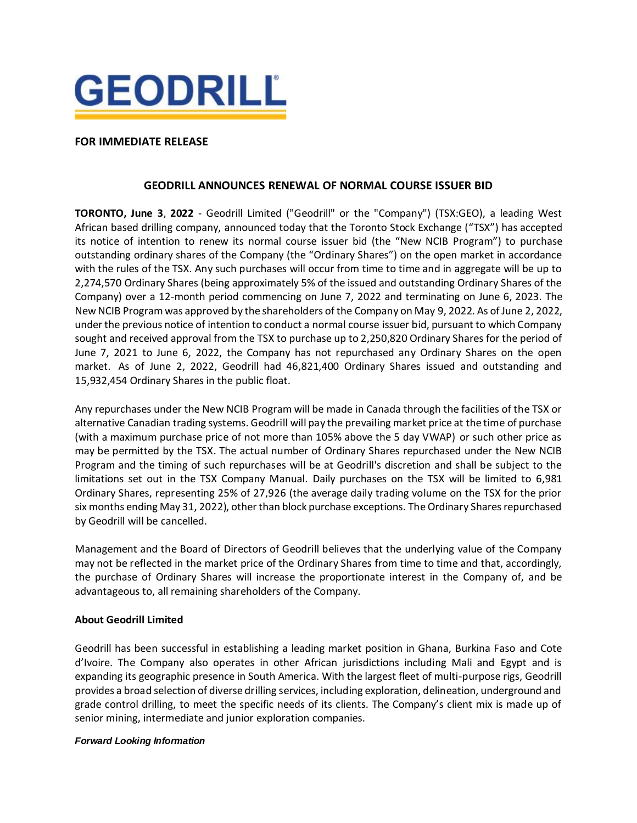

# **FOR IMMEDIATE RELEASE**

# **GEODRILL ANNOUNCES RENEWAL OF NORMAL COURSE ISSUER BID**

**TORONTO, June 3**, **2022** - Geodrill Limited ("Geodrill" or the "Company") (TSX:GEO), a leading West African based drilling company, announced today that the Toronto Stock Exchange ("TSX") has accepted its notice of intention to renew its normal course issuer bid (the "New NCIB Program") to purchase outstanding ordinary shares of the Company (the "Ordinary Shares") on the open market in accordance with the rules of the TSX. Any such purchases will occur from time to time and in aggregate will be up to 2,274,570 Ordinary Shares (being approximately 5% of the issued and outstanding Ordinary Shares of the Company) over a 12-month period commencing on June 7, 2022 and terminating on June 6, 2023. The New NCIB Programwas approved by the shareholders of the Company on May 9, 2022. As of June 2, 2022, under the previous notice of intention to conduct a normal course issuer bid, pursuant to which Company sought and received approval from the TSX to purchase up to 2,250,820 Ordinary Shares for the period of June 7, 2021 to June 6, 2022, the Company has not repurchased any Ordinary Shares on the open market. As of June 2, 2022, Geodrill had 46,821,400 Ordinary Shares issued and outstanding and 15,932,454 Ordinary Shares in the public float.

Any repurchases under the New NCIB Program will be made in Canada through the facilities of the TSX or alternative Canadian trading systems. Geodrill will pay the prevailing market price at the time of purchase (with a maximum purchase price of not more than 105% above the 5 day VWAP) or such other price as may be permitted by the TSX. The actual number of Ordinary Shares repurchased under the New NCIB Program and the timing of such repurchases will be at Geodrill's discretion and shall be subject to the limitations set out in the TSX Company Manual. Daily purchases on the TSX will be limited to 6,981 Ordinary Shares, representing 25% of 27,926 (the average daily trading volume on the TSX for the prior six months ending May 31, 2022), other than block purchase exceptions. The Ordinary Shares repurchased by Geodrill will be cancelled.

Management and the Board of Directors of Geodrill believes that the underlying value of the Company may not be reflected in the market price of the Ordinary Shares from time to time and that, accordingly, the purchase of Ordinary Shares will increase the proportionate interest in the Company of, and be advantageous to, all remaining shareholders of the Company.

## **About Geodrill Limited**

Geodrill has been successful in establishing a leading market position in Ghana, Burkina Faso and Cote d'Ivoire. The Company also operates in other African jurisdictions including Mali and Egypt and is expanding its geographic presence in South America. With the largest fleet of multi-purpose rigs, Geodrill provides a broad selection of diverse drilling services, including exploration, delineation, underground and grade control drilling, to meet the specific needs of its clients. The Company's client mix is made up of senior mining, intermediate and junior exploration companies.

## *Forward Looking Information*